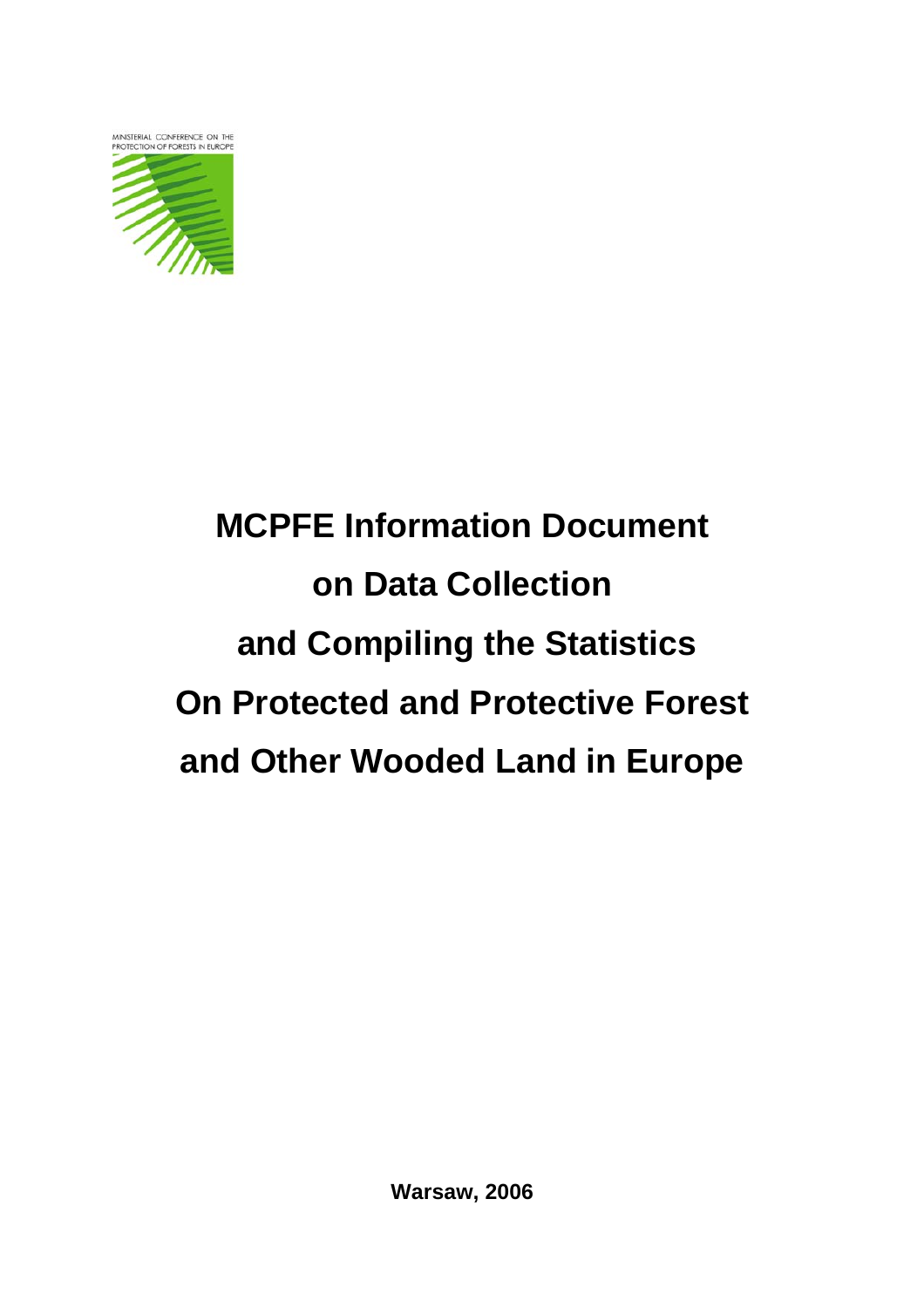

# **MCPFE Information Document on Data Collection and Compiling the Statistics On Protected and Protective Forest and Other Wooded Land in Europe**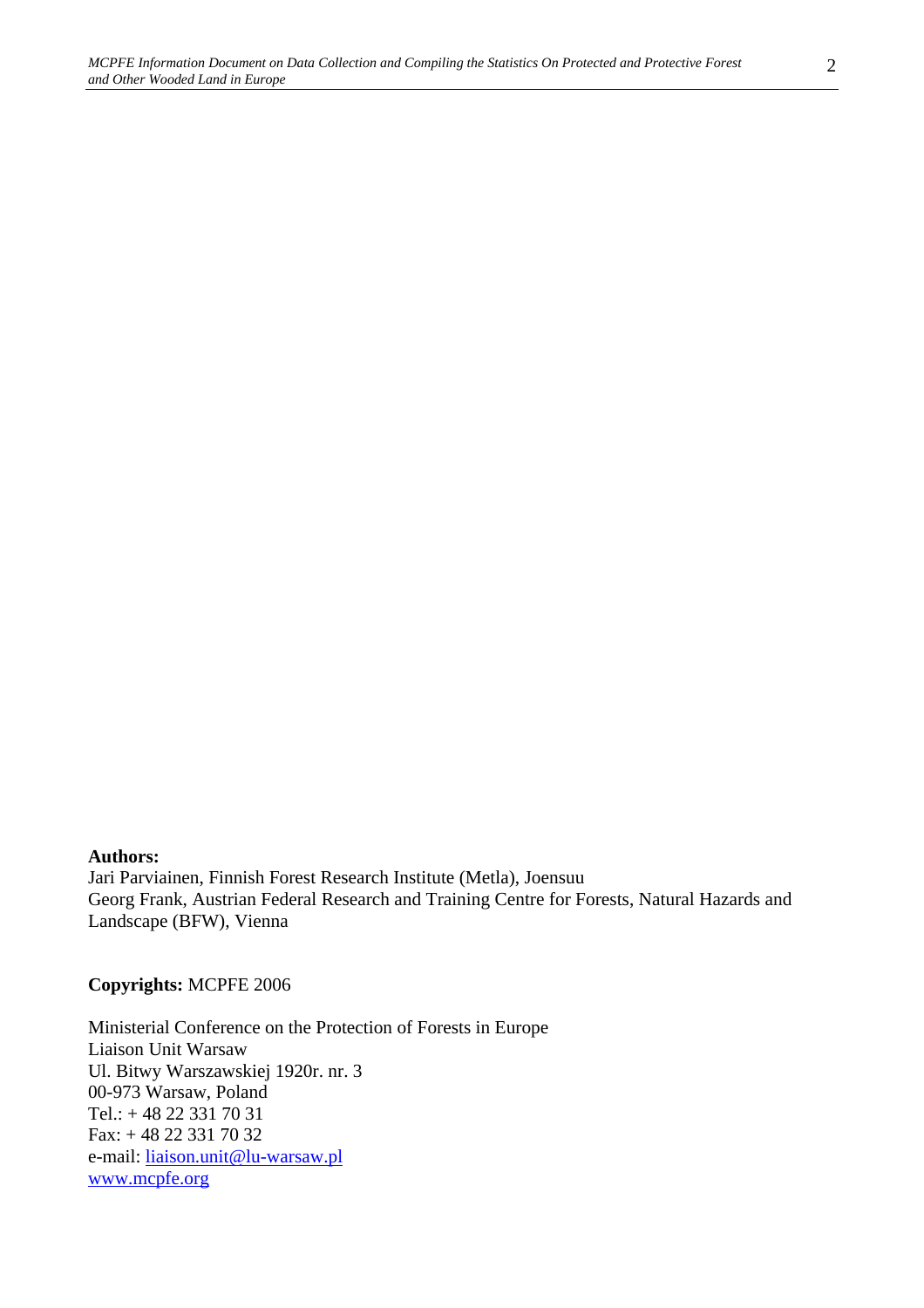Jari Parviainen, Finnish Forest Research Institute (Metla), Joensuu Georg Frank, Austrian Federal Research and Training Centre for Forests, Natural Hazards and Landscape (BFW), Vienna

#### **Copyrights:** MCPFE 2006

Ministerial Conference on the Protection of Forests in Europe Liaison Unit Warsaw Ul. Bitwy Warszawskiej 1920r. nr. 3 00-973 Warsaw, Poland Tel.: + 48 22 331 70 31 Fax: + 48 22 331 70 32 e-mail: liaison.unit@lu-warsaw.pl www.mcpfe.org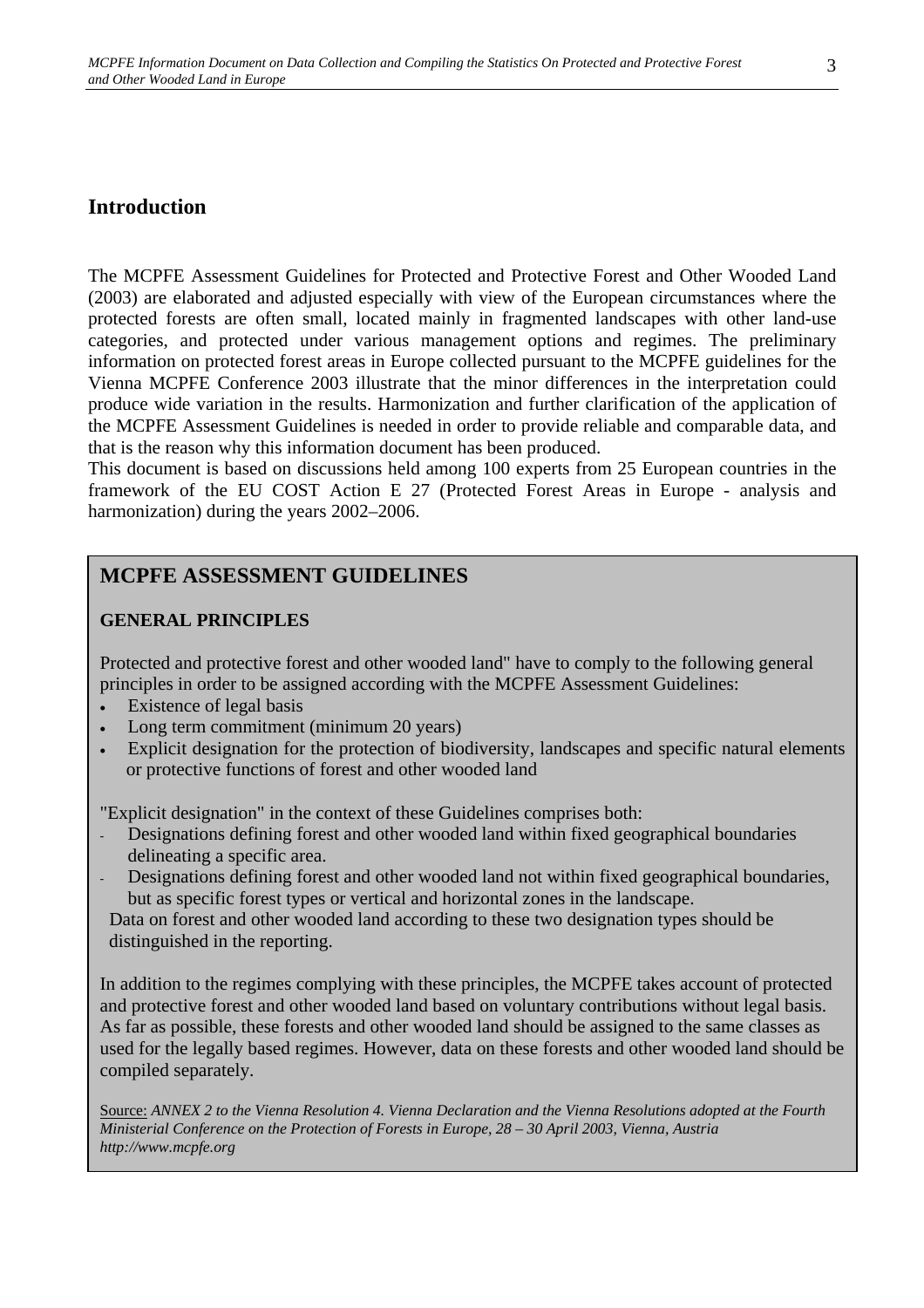# **Introduction**

The MCPFE Assessment Guidelines for Protected and Protective Forest and Other Wooded Land (2003) are elaborated and adjusted especially with view of the European circumstances where the protected forests are often small, located mainly in fragmented landscapes with other land-use categories, and protected under various management options and regimes. The preliminary information on protected forest areas in Europe collected pursuant to the MCPFE guidelines for the Vienna MCPFE Conference 2003 illustrate that the minor differences in the interpretation could produce wide variation in the results. Harmonization and further clarification of the application of the MCPFE Assessment Guidelines is needed in order to provide reliable and comparable data, and that is the reason why this information document has been produced.

This document is based on discussions held among 100 experts from 25 European countries in the framework of the EU COST Action E 27 (Protected Forest Areas in Europe - analysis and harmonization) during the years 2002–2006.

# **MCPFE ASSESSMENT GUIDELINES**

## **GENERAL PRINCIPLES**

Protected and protective forest and other wooded land" have to comply to the following general principles in order to be assigned according with the MCPFE Assessment Guidelines:

- Existence of legal basis
- Long term commitment (minimum 20 years)
- Explicit designation for the protection of biodiversity, landscapes and specific natural elements or protective functions of forest and other wooded land

"Explicit designation" in the context of these Guidelines comprises both:

- Designations defining forest and other wooded land within fixed geographical boundaries delineating a specific area.
- Designations defining forest and other wooded land not within fixed geographical boundaries, but as specific forest types or vertical and horizontal zones in the landscape.

 Data on forest and other wooded land according to these two designation types should be distinguished in the reporting.

In addition to the regimes complying with these principles, the MCPFE takes account of protected and protective forest and other wooded land based on voluntary contributions without legal basis. As far as possible, these forests and other wooded land should be assigned to the same classes as used for the legally based regimes. However, data on these forests and other wooded land should be compiled separately.

Source: *ANNEX 2 to the Vienna Resolution 4. Vienna Declaration and the Vienna Resolutions adopted at the Fourth Ministerial Conference on the Protection of Forests in Europe, 28 – 30 April 2003, Vienna, Austria http://www.mcpfe.org*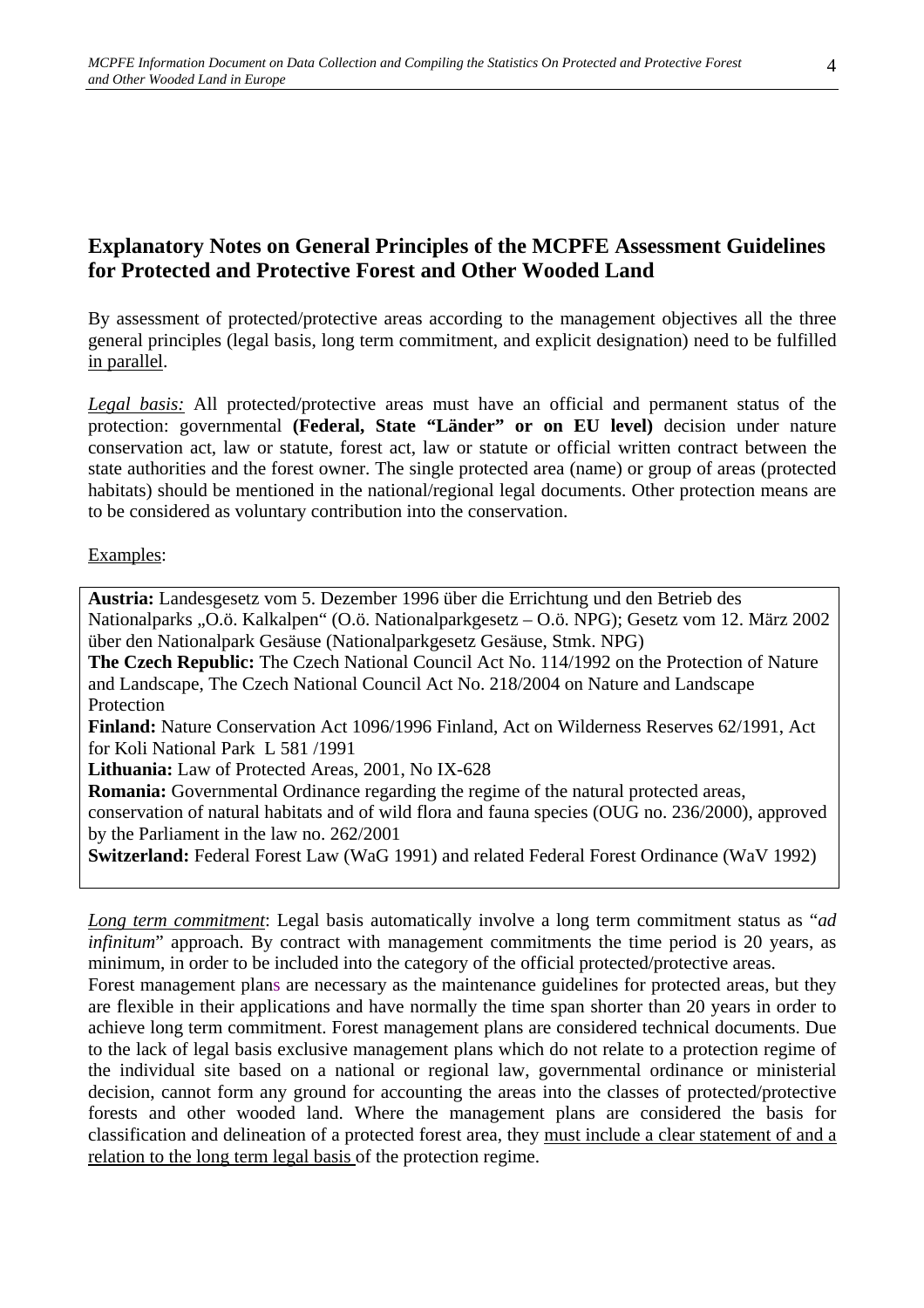# **Explanatory Notes on General Principles of the MCPFE Assessment Guidelines for Protected and Protective Forest and Other Wooded Land**

By assessment of protected/protective areas according to the management objectives all the three general principles (legal basis, long term commitment, and explicit designation) need to be fulfilled in parallel.

*Legal basis:* All protected/protective areas must have an official and permanent status of the protection: governmental **(Federal, State "Länder" or on EU level)** decision under nature conservation act, law or statute, forest act, law or statute or official written contract between the state authorities and the forest owner. The single protected area (name) or group of areas (protected habitats) should be mentioned in the national/regional legal documents. Other protection means are to be considered as voluntary contribution into the conservation.

#### Examples:

**Austria:** Landesgesetz vom 5. Dezember 1996 über die Errichtung und den Betrieb des Nationalparks "O.ö. Kalkalpen" (O.ö. Nationalparkgesetz – O.ö. NPG); Gesetz vom 12. März 2002 über den Nationalpark Gesäuse (Nationalparkgesetz Gesäuse, Stmk. NPG) **The Czech Republic:** The Czech National Council Act No. 114/1992 on the Protection of Nature and Landscape, The Czech National Council Act No. 218/2004 on Nature and Landscape Protection **Finland:** Nature Conservation Act 1096/1996 Finland, Act on Wilderness Reserves 62/1991, Act for Koli National Park L 581 /1991 **Lithuania:** Law of Protected Areas, 2001, No IX-628 **Romania:** Governmental Ordinance regarding the regime of the natural protected areas, conservation of natural habitats and of wild flora and fauna species (OUG no. 236/2000), approved by the Parliament in the law no. 262/2001

**Switzerland:** Federal Forest Law (WaG 1991) and related Federal Forest Ordinance (WaV 1992)

*Long term commitment*: Legal basis automatically involve a long term commitment status as "*ad infinitum*" approach. By contract with management commitments the time period is 20 years, as minimum, in order to be included into the category of the official protected/protective areas.

Forest management plans are necessary as the maintenance guidelines for protected areas, but they are flexible in their applications and have normally the time span shorter than 20 years in order to achieve long term commitment. Forest management plans are considered technical documents. Due to the lack of legal basis exclusive management plans which do not relate to a protection regime of the individual site based on a national or regional law, governmental ordinance or ministerial decision, cannot form any ground for accounting the areas into the classes of protected/protective forests and other wooded land. Where the management plans are considered the basis for classification and delineation of a protected forest area, they must include a clear statement of and a relation to the long term legal basis of the protection regime.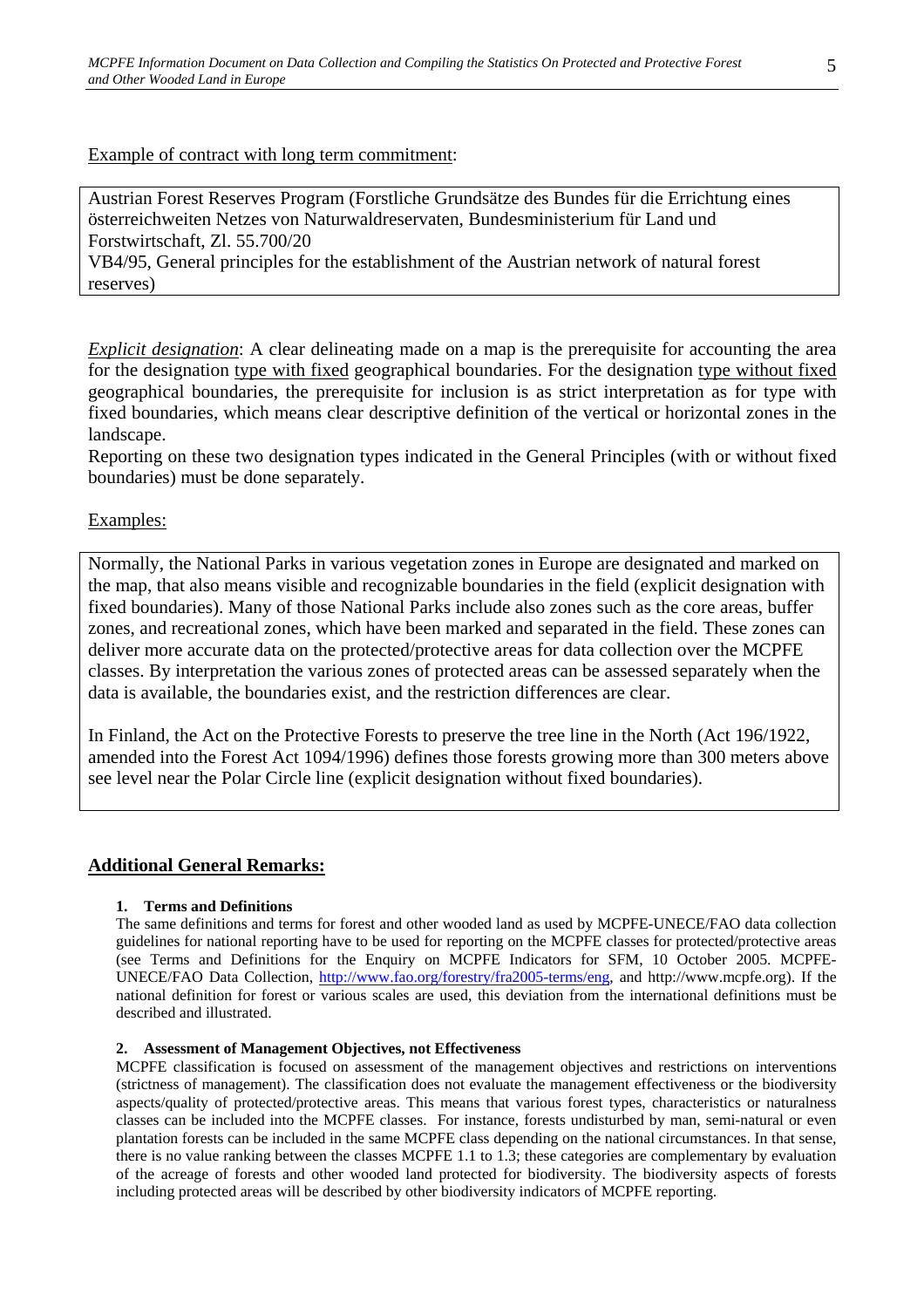Example of contract with long term commitment:

Austrian Forest Reserves Program (Forstliche Grundsätze des Bundes für die Errichtung eines österreichweiten Netzes von Naturwaldreservaten, Bundesministerium für Land und Forstwirtschaft, Zl. 55.700/20

VB4/95, General principles for the establishment of the Austrian network of natural forest reserves)

*Explicit designation*: A clear delineating made on a map is the prerequisite for accounting the area for the designation type with fixed geographical boundaries. For the designation type without fixed geographical boundaries, the prerequisite for inclusion is as strict interpretation as for type with fixed boundaries, which means clear descriptive definition of the vertical or horizontal zones in the landscape.

Reporting on these two designation types indicated in the General Principles (with or without fixed boundaries) must be done separately.

#### Examples:

Normally, the National Parks in various vegetation zones in Europe are designated and marked on the map, that also means visible and recognizable boundaries in the field (explicit designation with fixed boundaries). Many of those National Parks include also zones such as the core areas, buffer zones, and recreational zones, which have been marked and separated in the field. These zones can deliver more accurate data on the protected/protective areas for data collection over the MCPFE classes. By interpretation the various zones of protected areas can be assessed separately when the data is available, the boundaries exist, and the restriction differences are clear.

In Finland, the Act on the Protective Forests to preserve the tree line in the North (Act 196/1922, amended into the Forest Act 1094/1996) defines those forests growing more than 300 meters above see level near the Polar Circle line (explicit designation without fixed boundaries).

## **Additional General Remarks:**

#### **1. Terms and Definitions**

The same definitions and terms for forest and other wooded land as used by MCPFE-UNECE/FAO data collection guidelines for national reporting have to be used for reporting on the MCPFE classes for protected/protective areas (see Terms and Definitions for the Enquiry on MCPFE Indicators for SFM, 10 October 2005. MCPFE-UNECE/FAO Data Collection, http://www.fao.org/forestry/fra2005-terms/eng, and http://www.mcpfe.org). If the national definition for forest or various scales are used, this deviation from the international definitions must be described and illustrated.

#### **2. Assessment of Management Objectives, not Effectiveness**

MCPFE classification is focused on assessment of the management objectives and restrictions on interventions (strictness of management). The classification does not evaluate the management effectiveness or the biodiversity aspects/quality of protected/protective areas. This means that various forest types, characteristics or naturalness classes can be included into the MCPFE classes. For instance, forests undisturbed by man, semi-natural or even plantation forests can be included in the same MCPFE class depending on the national circumstances. In that sense, there is no value ranking between the classes MCPFE 1.1 to 1.3; these categories are complementary by evaluation of the acreage of forests and other wooded land protected for biodiversity. The biodiversity aspects of forests including protected areas will be described by other biodiversity indicators of MCPFE reporting.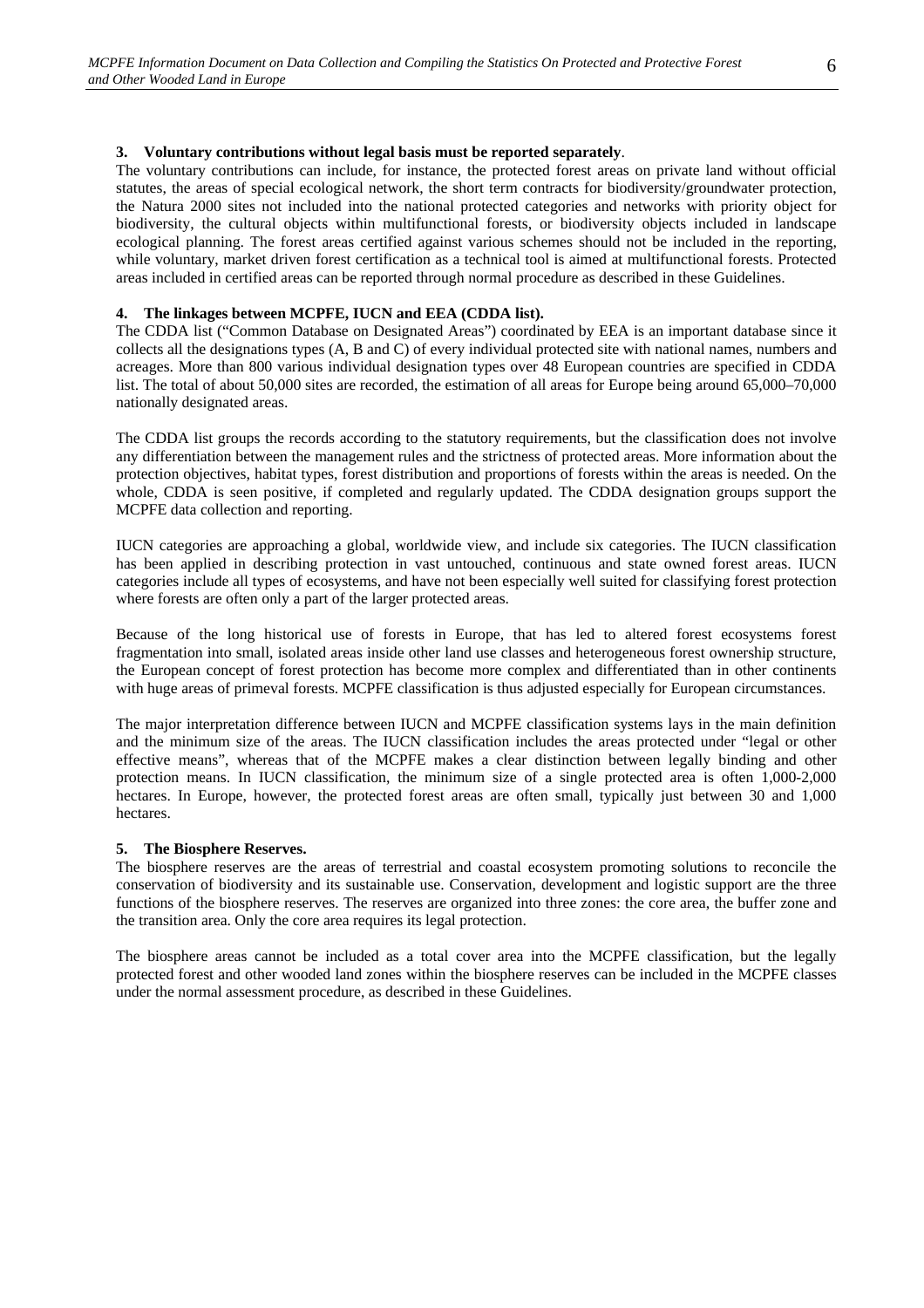#### **3. Voluntary contributions without legal basis must be reported separately**.

The voluntary contributions can include, for instance, the protected forest areas on private land without official statutes, the areas of special ecological network, the short term contracts for biodiversity/groundwater protection, the Natura 2000 sites not included into the national protected categories and networks with priority object for biodiversity, the cultural objects within multifunctional forests, or biodiversity objects included in landscape ecological planning. The forest areas certified against various schemes should not be included in the reporting, while voluntary, market driven forest certification as a technical tool is aimed at multifunctional forests. Protected areas included in certified areas can be reported through normal procedure as described in these Guidelines.

#### **4. The linkages between MCPFE, IUCN and EEA (CDDA list).**

The CDDA list ("Common Database on Designated Areas") coordinated by EEA is an important database since it collects all the designations types (A, B and C) of every individual protected site with national names, numbers and acreages. More than 800 various individual designation types over 48 European countries are specified in CDDA list. The total of about 50,000 sites are recorded, the estimation of all areas for Europe being around 65,000–70,000 nationally designated areas.

The CDDA list groups the records according to the statutory requirements, but the classification does not involve any differentiation between the management rules and the strictness of protected areas. More information about the protection objectives, habitat types, forest distribution and proportions of forests within the areas is needed. On the whole, CDDA is seen positive, if completed and regularly updated. The CDDA designation groups support the MCPFE data collection and reporting.

IUCN categories are approaching a global, worldwide view, and include six categories. The IUCN classification has been applied in describing protection in vast untouched, continuous and state owned forest areas. IUCN categories include all types of ecosystems, and have not been especially well suited for classifying forest protection where forests are often only a part of the larger protected areas.

Because of the long historical use of forests in Europe, that has led to altered forest ecosystems forest fragmentation into small, isolated areas inside other land use classes and heterogeneous forest ownership structure, the European concept of forest protection has become more complex and differentiated than in other continents with huge areas of primeval forests. MCPFE classification is thus adjusted especially for European circumstances.

The major interpretation difference between IUCN and MCPFE classification systems lays in the main definition and the minimum size of the areas. The IUCN classification includes the areas protected under "legal or other effective means", whereas that of the MCPFE makes a clear distinction between legally binding and other protection means. In IUCN classification, the minimum size of a single protected area is often 1,000-2,000 hectares. In Europe, however, the protected forest areas are often small, typically just between 30 and 1,000 hectares.

#### **5. The Biosphere Reserves.**

The biosphere reserves are the areas of terrestrial and coastal ecosystem promoting solutions to reconcile the conservation of biodiversity and its sustainable use. Conservation, development and logistic support are the three functions of the biosphere reserves. The reserves are organized into three zones: the core area, the buffer zone and the transition area. Only the core area requires its legal protection.

The biosphere areas cannot be included as a total cover area into the MCPFE classification, but the legally protected forest and other wooded land zones within the biosphere reserves can be included in the MCPFE classes under the normal assessment procedure, as described in these Guidelines.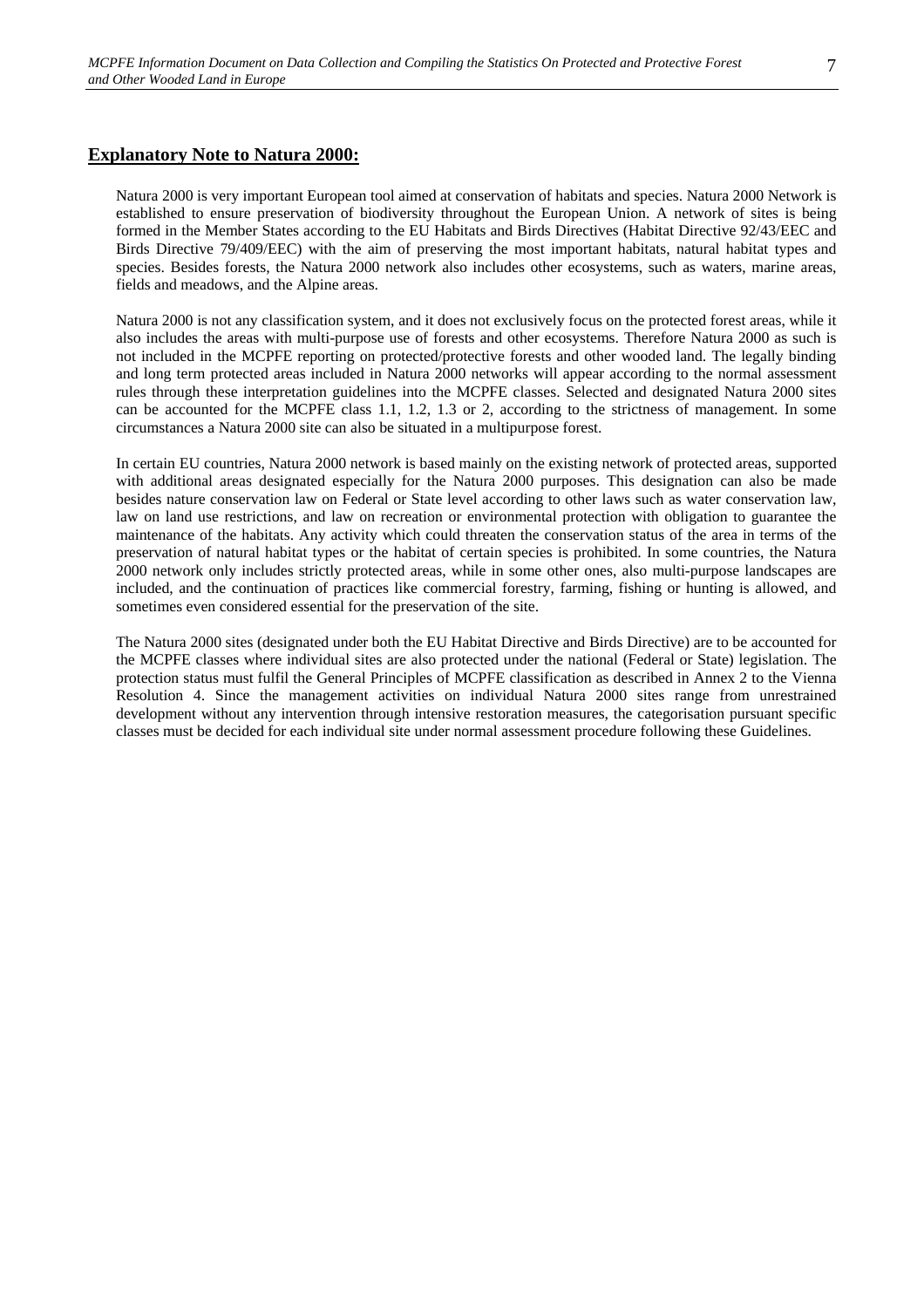#### **Explanatory Note to Natura 2000:**

Natura 2000 is very important European tool aimed at conservation of habitats and species. Natura 2000 Network is established to ensure preservation of biodiversity throughout the European Union. A network of sites is being formed in the Member States according to the EU Habitats and Birds Directives (Habitat Directive 92/43/EEC and Birds Directive 79/409/EEC) with the aim of preserving the most important habitats, natural habitat types and species. Besides forests, the Natura 2000 network also includes other ecosystems, such as waters, marine areas, fields and meadows, and the Alpine areas.

Natura 2000 is not any classification system, and it does not exclusively focus on the protected forest areas, while it also includes the areas with multi-purpose use of forests and other ecosystems. Therefore Natura 2000 as such is not included in the MCPFE reporting on protected/protective forests and other wooded land. The legally binding and long term protected areas included in Natura 2000 networks will appear according to the normal assessment rules through these interpretation guidelines into the MCPFE classes. Selected and designated Natura 2000 sites can be accounted for the MCPFE class 1.1, 1.2, 1.3 or 2, according to the strictness of management. In some circumstances a Natura 2000 site can also be situated in a multipurpose forest.

In certain EU countries, Natura 2000 network is based mainly on the existing network of protected areas, supported with additional areas designated especially for the Natura 2000 purposes. This designation can also be made besides nature conservation law on Federal or State level according to other laws such as water conservation law, law on land use restrictions, and law on recreation or environmental protection with obligation to guarantee the maintenance of the habitats. Any activity which could threaten the conservation status of the area in terms of the preservation of natural habitat types or the habitat of certain species is prohibited. In some countries, the Natura 2000 network only includes strictly protected areas, while in some other ones, also multi-purpose landscapes are included, and the continuation of practices like commercial forestry, farming, fishing or hunting is allowed, and sometimes even considered essential for the preservation of the site.

The Natura 2000 sites (designated under both the EU Habitat Directive and Birds Directive) are to be accounted for the MCPFE classes where individual sites are also protected under the national (Federal or State) legislation. The protection status must fulfil the General Principles of MCPFE classification as described in Annex 2 to the Vienna Resolution 4. Since the management activities on individual Natura 2000 sites range from unrestrained development without any intervention through intensive restoration measures, the categorisation pursuant specific classes must be decided for each individual site under normal assessment procedure following these Guidelines.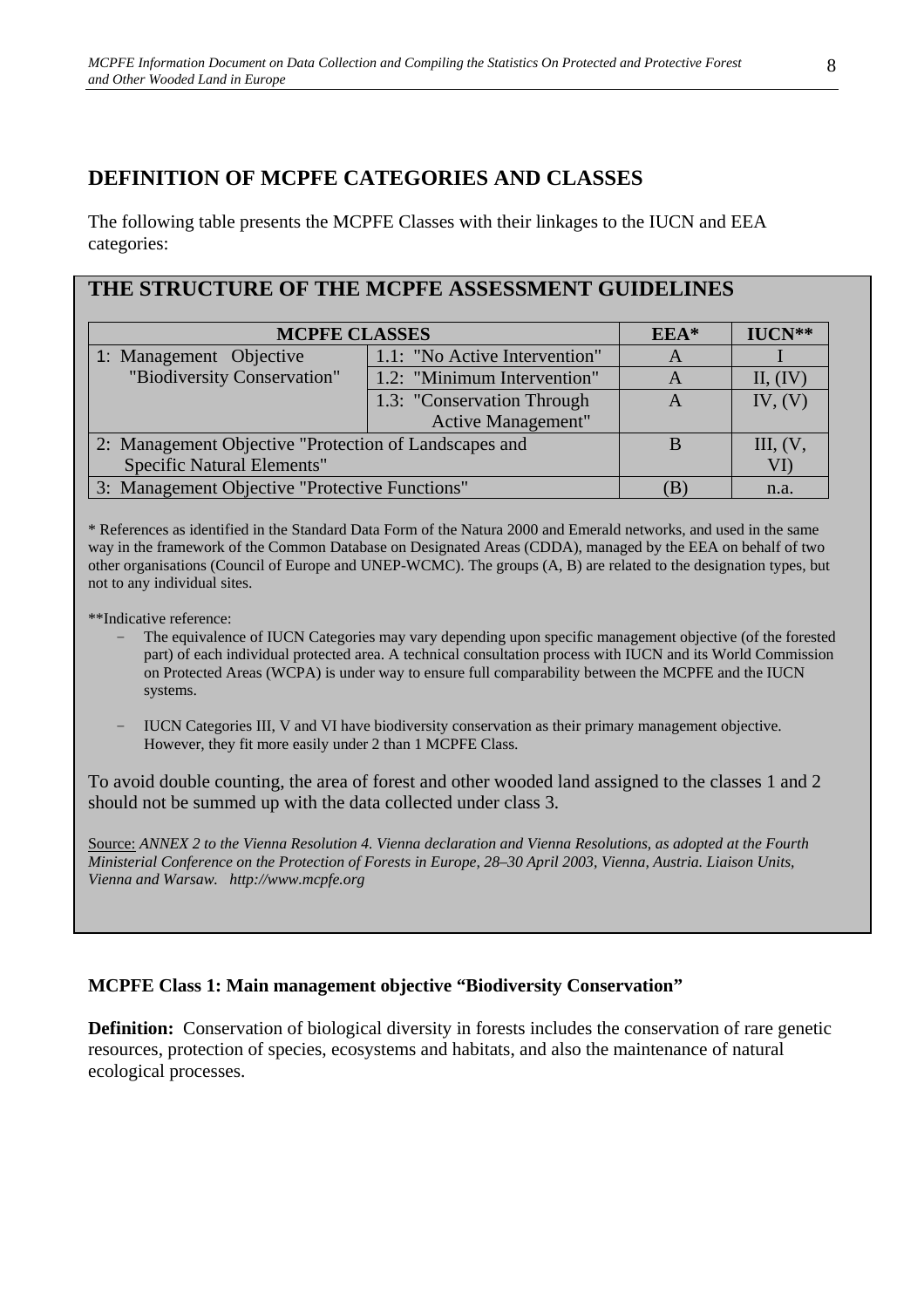# **DEFINITION OF MCPFE CATEGORIES AND CLASSES**

The following table presents the MCPFE Classes with their linkages to the IUCN and EEA categories:

# **THE STRUCTURE OF THE MCPFE ASSESSMENT GUIDELINES**

| <b>MCPFE CLASSES</b>                                  | $EEA*$                        | $IUCN**$ |          |
|-------------------------------------------------------|-------------------------------|----------|----------|
| 1: Management Objective                               | 1.1: "No Active Intervention" | A        |          |
| "Biodiversity Conservation"                           | 1.2: "Minimum Intervention"   | A        | II, (IV) |
|                                                       | 1.3: "Conservation Through    | A        | IV, (V)  |
|                                                       | <b>Active Management"</b>     |          |          |
| 2: Management Objective "Protection of Landscapes and | B                             | III, (V, |          |
| <b>Specific Natural Elements"</b>                     |                               |          |          |
| 3: Management Objective "Protective Functions"        |                               | n.a.     |          |

\* References as identified in the Standard Data Form of the Natura 2000 and Emerald networks, and used in the same way in the framework of the Common Database on Designated Areas (CDDA), managed by the EEA on behalf of two other organisations (Council of Europe and UNEP-WCMC). The groups (A, B) are related to the designation types, but not to any individual sites.

\*\*Indicative reference:

- The equivalence of IUCN Categories may vary depending upon specific management objective (of the forested part) of each individual protected area. A technical consultation process with IUCN and its World Commission on Protected Areas (WCPA) is under way to ensure full comparability between the MCPFE and the IUCN systems.
- − IUCN Categories III, V and VI have biodiversity conservation as their primary management objective. However, they fit more easily under 2 than 1 MCPFE Class.

To avoid double counting, the area of forest and other wooded land assigned to the classes 1 and 2 should not be summed up with the data collected under class 3.

Source: *ANNEX 2 to the Vienna Resolution 4. Vienna declaration and Vienna Resolutions, as adopted at the Fourth Ministerial Conference on the Protection of Forests in Europe, 28–30 April 2003, Vienna, Austria. Liaison Units, Vienna and Warsaw. http://www.mcpfe.org* 

## **MCPFE Class 1: Main management objective "Biodiversity Conservation"**

**Definition:** Conservation of biological diversity in forests includes the conservation of rare genetic resources, protection of species, ecosystems and habitats, and also the maintenance of natural ecological processes.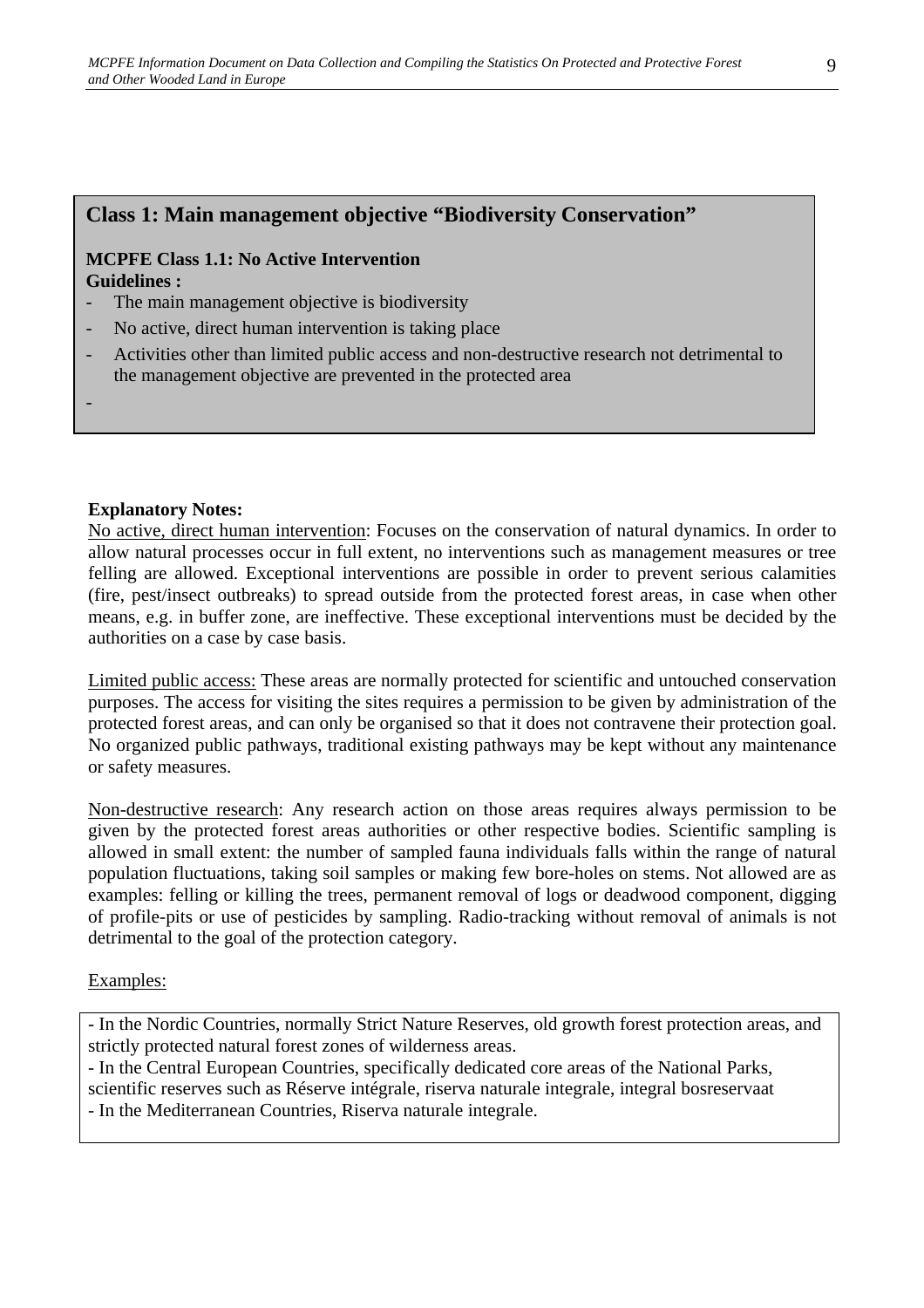## **Class 1: Main management objective "Biodiversity Conservation"**

#### **MCPFE Class 1.1: No Active Intervention Guidelines :**

- The main management objective is biodiversity
- No active, direct human intervention is taking place
- Activities other than limited public access and non-destructive research not detrimental to the management objective are prevented in the protected area

#### **Explanatory Notes:**

-

No active, direct human intervention: Focuses on the conservation of natural dynamics. In order to allow natural processes occur in full extent, no interventions such as management measures or tree felling are allowed. Exceptional interventions are possible in order to prevent serious calamities (fire, pest/insect outbreaks) to spread outside from the protected forest areas, in case when other means, e.g. in buffer zone, are ineffective. These exceptional interventions must be decided by the authorities on a case by case basis.

Limited public access: These areas are normally protected for scientific and untouched conservation purposes. The access for visiting the sites requires a permission to be given by administration of the protected forest areas, and can only be organised so that it does not contravene their protection goal. No organized public pathways, traditional existing pathways may be kept without any maintenance or safety measures.

Non-destructive research: Any research action on those areas requires always permission to be given by the protected forest areas authorities or other respective bodies. Scientific sampling is allowed in small extent: the number of sampled fauna individuals falls within the range of natural population fluctuations, taking soil samples or making few bore-holes on stems. Not allowed are as examples: felling or killing the trees, permanent removal of logs or deadwood component, digging of profile-pits or use of pesticides by sampling. Radio-tracking without removal of animals is not detrimental to the goal of the protection category.

#### Examples:

- In the Nordic Countries, normally Strict Nature Reserves, old growth forest protection areas, and strictly protected natural forest zones of wilderness areas.

- In the Central European Countries, specifically dedicated core areas of the National Parks, scientific reserves such as Réserve intégrale, riserva naturale integrale, integral bosreservaat - In the Mediterranean Countries, Riserva naturale integrale.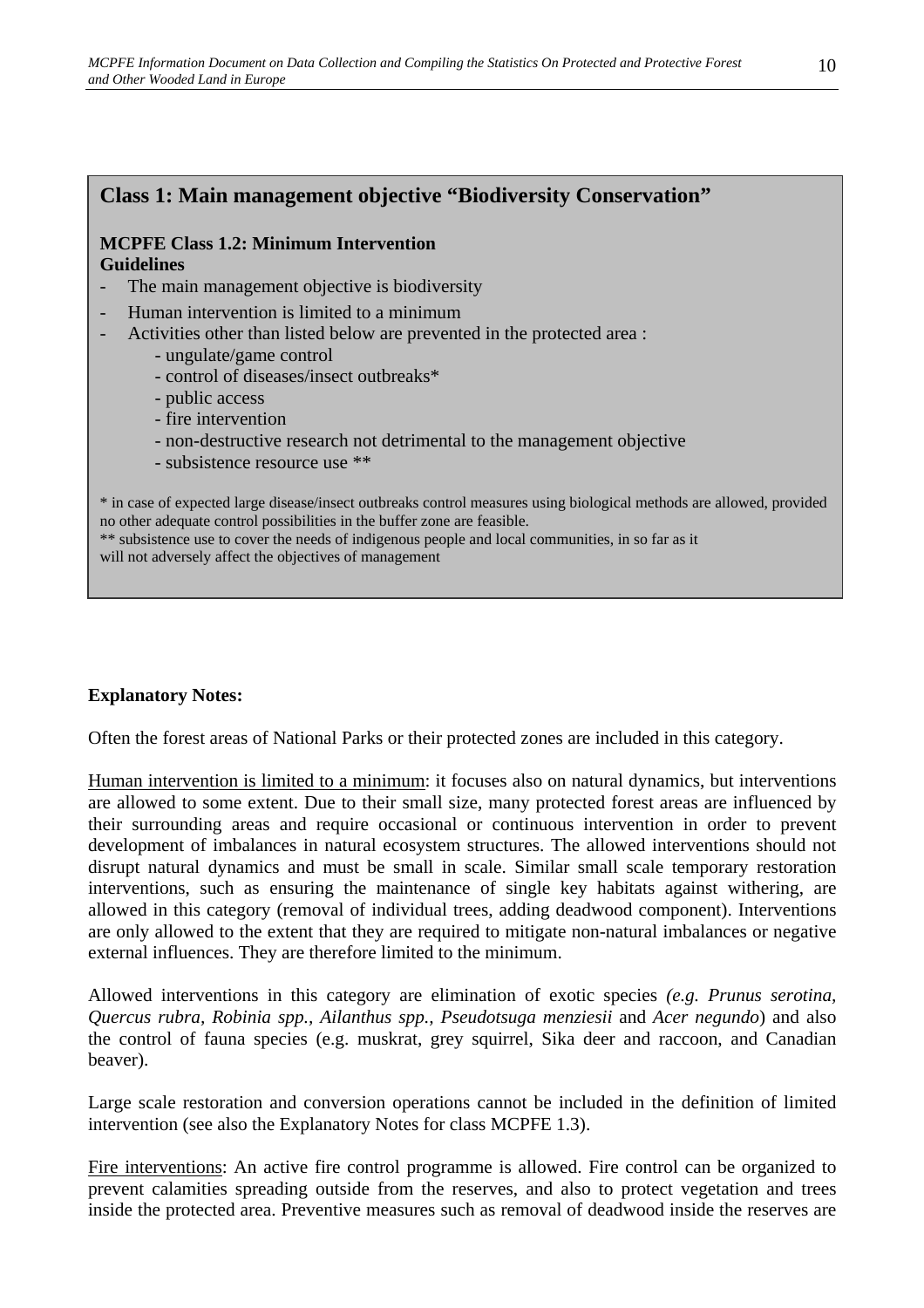## **Class 1: Main management objective "Biodiversity Conservation"**

#### **MCPFE Class 1.2: Minimum Intervention Guidelines**

- The main management objective is biodiversity
- Human intervention is limited to a minimum
- Activities other than listed below are prevented in the protected area :
	- ungulate/game control
	- control of diseases/insect outbreaks\*
	- public access
	- fire intervention
	- non-destructive research not detrimental to the management objective
	- subsistence resource use \*\*

\* in case of expected large disease/insect outbreaks control measures using biological methods are allowed, provided no other adequate control possibilities in the buffer zone are feasible.

\*\* subsistence use to cover the needs of indigenous people and local communities, in so far as it will not adversely affect the objectives of management

#### **Explanatory Notes:**

Often the forest areas of National Parks or their protected zones are included in this category.

Human intervention is limited to a minimum: it focuses also on natural dynamics, but interventions are allowed to some extent. Due to their small size, many protected forest areas are influenced by their surrounding areas and require occasional or continuous intervention in order to prevent development of imbalances in natural ecosystem structures. The allowed interventions should not disrupt natural dynamics and must be small in scale. Similar small scale temporary restoration interventions, such as ensuring the maintenance of single key habitats against withering, are allowed in this category (removal of individual trees, adding deadwood component). Interventions are only allowed to the extent that they are required to mitigate non-natural imbalances or negative external influences. They are therefore limited to the minimum.

Allowed interventions in this category are elimination of exotic species *(e.g. Prunus serotina, Quercus rubra, Robinia spp., Ailanthus spp., Pseudotsuga menziesii* and *Acer negundo*) and also the control of fauna species (e.g. muskrat, grey squirrel, Sika deer and raccoon, and Canadian beaver).

Large scale restoration and conversion operations cannot be included in the definition of limited intervention (see also the Explanatory Notes for class MCPFE 1.3).

Fire interventions: An active fire control programme is allowed. Fire control can be organized to prevent calamities spreading outside from the reserves, and also to protect vegetation and trees inside the protected area. Preventive measures such as removal of deadwood inside the reserves are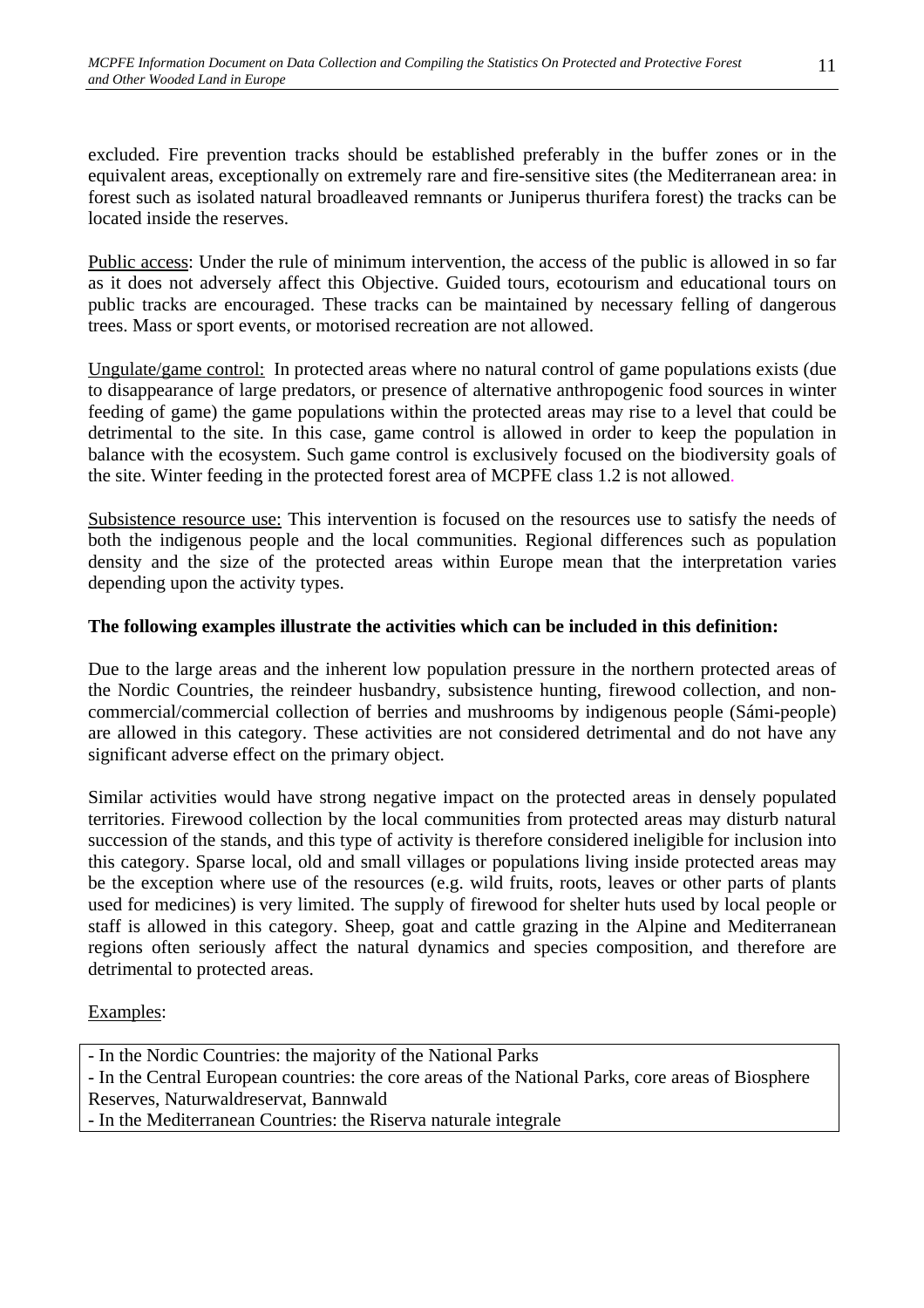excluded. Fire prevention tracks should be established preferably in the buffer zones or in the equivalent areas, exceptionally on extremely rare and fire-sensitive sites (the Mediterranean area: in forest such as isolated natural broadleaved remnants or Juniperus thurifera forest) the tracks can be located inside the reserves.

Public access: Under the rule of minimum intervention, the access of the public is allowed in so far as it does not adversely affect this Objective. Guided tours, ecotourism and educational tours on public tracks are encouraged. These tracks can be maintained by necessary felling of dangerous trees. Mass or sport events, or motorised recreation are not allowed.

Ungulate/game control: In protected areas where no natural control of game populations exists (due to disappearance of large predators, or presence of alternative anthropogenic food sources in winter feeding of game) the game populations within the protected areas may rise to a level that could be detrimental to the site. In this case, game control is allowed in order to keep the population in balance with the ecosystem. Such game control is exclusively focused on the biodiversity goals of the site. Winter feeding in the protected forest area of MCPFE class 1.2 is not allowed.

Subsistence resource use: This intervention is focused on the resources use to satisfy the needs of both the indigenous people and the local communities. Regional differences such as population density and the size of the protected areas within Europe mean that the interpretation varies depending upon the activity types.

#### **The following examples illustrate the activities which can be included in this definition:**

Due to the large areas and the inherent low population pressure in the northern protected areas of the Nordic Countries, the reindeer husbandry, subsistence hunting, firewood collection, and noncommercial/commercial collection of berries and mushrooms by indigenous people (Sámi-people) are allowed in this category. These activities are not considered detrimental and do not have any significant adverse effect on the primary object.

Similar activities would have strong negative impact on the protected areas in densely populated territories. Firewood collection by the local communities from protected areas may disturb natural succession of the stands, and this type of activity is therefore considered ineligible for inclusion into this category. Sparse local, old and small villages or populations living inside protected areas may be the exception where use of the resources (e.g. wild fruits, roots, leaves or other parts of plants used for medicines) is very limited. The supply of firewood for shelter huts used by local people or staff is allowed in this category. Sheep, goat and cattle grazing in the Alpine and Mediterranean regions often seriously affect the natural dynamics and species composition, and therefore are detrimental to protected areas.

## Examples:

- In the Nordic Countries: the majority of the National Parks
- In the Central European countries: the core areas of the National Parks, core areas of Biosphere Reserves, Naturwaldreservat, Bannwald
- In the Mediterranean Countries: the Riserva naturale integrale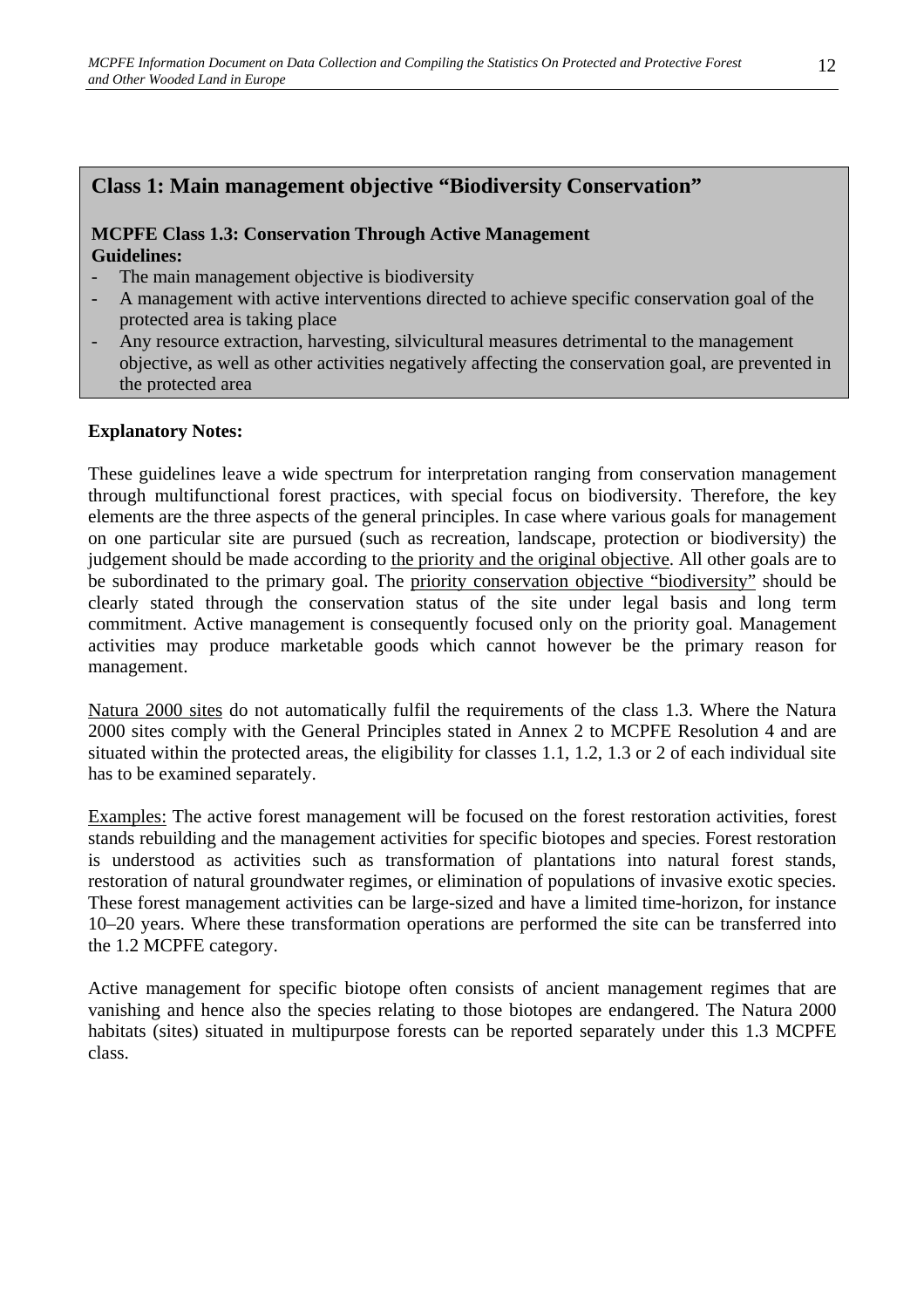## **Class 1: Main management objective "Biodiversity Conservation"**

#### **MCPFE Class 1.3: Conservation Through Active Management Guidelines:**

- The main management objective is biodiversity
- A management with active interventions directed to achieve specific conservation goal of the protected area is taking place
- Any resource extraction, harvesting, silvicultural measures detrimental to the management objective, as well as other activities negatively affecting the conservation goal, are prevented in the protected area

#### **Explanatory Notes:**

These guidelines leave a wide spectrum for interpretation ranging from conservation management through multifunctional forest practices, with special focus on biodiversity. Therefore, the key elements are the three aspects of the general principles. In case where various goals for management on one particular site are pursued (such as recreation, landscape, protection or biodiversity) the judgement should be made according to the priority and the original objective. All other goals are to be subordinated to the primary goal. The priority conservation objective "biodiversity" should be clearly stated through the conservation status of the site under legal basis and long term commitment. Active management is consequently focused only on the priority goal. Management activities may produce marketable goods which cannot however be the primary reason for management.

Natura 2000 sites do not automatically fulfil the requirements of the class 1.3. Where the Natura 2000 sites comply with the General Principles stated in Annex 2 to MCPFE Resolution 4 and are situated within the protected areas, the eligibility for classes 1.1, 1.2, 1.3 or 2 of each individual site has to be examined separately.

Examples: The active forest management will be focused on the forest restoration activities, forest stands rebuilding and the management activities for specific biotopes and species. Forest restoration is understood as activities such as transformation of plantations into natural forest stands, restoration of natural groundwater regimes, or elimination of populations of invasive exotic species. These forest management activities can be large-sized and have a limited time-horizon, for instance 10–20 years. Where these transformation operations are performed the site can be transferred into the 1.2 MCPFE category.

Active management for specific biotope often consists of ancient management regimes that are vanishing and hence also the species relating to those biotopes are endangered. The Natura 2000 habitats (sites) situated in multipurpose forests can be reported separately under this 1.3 MCPFE class.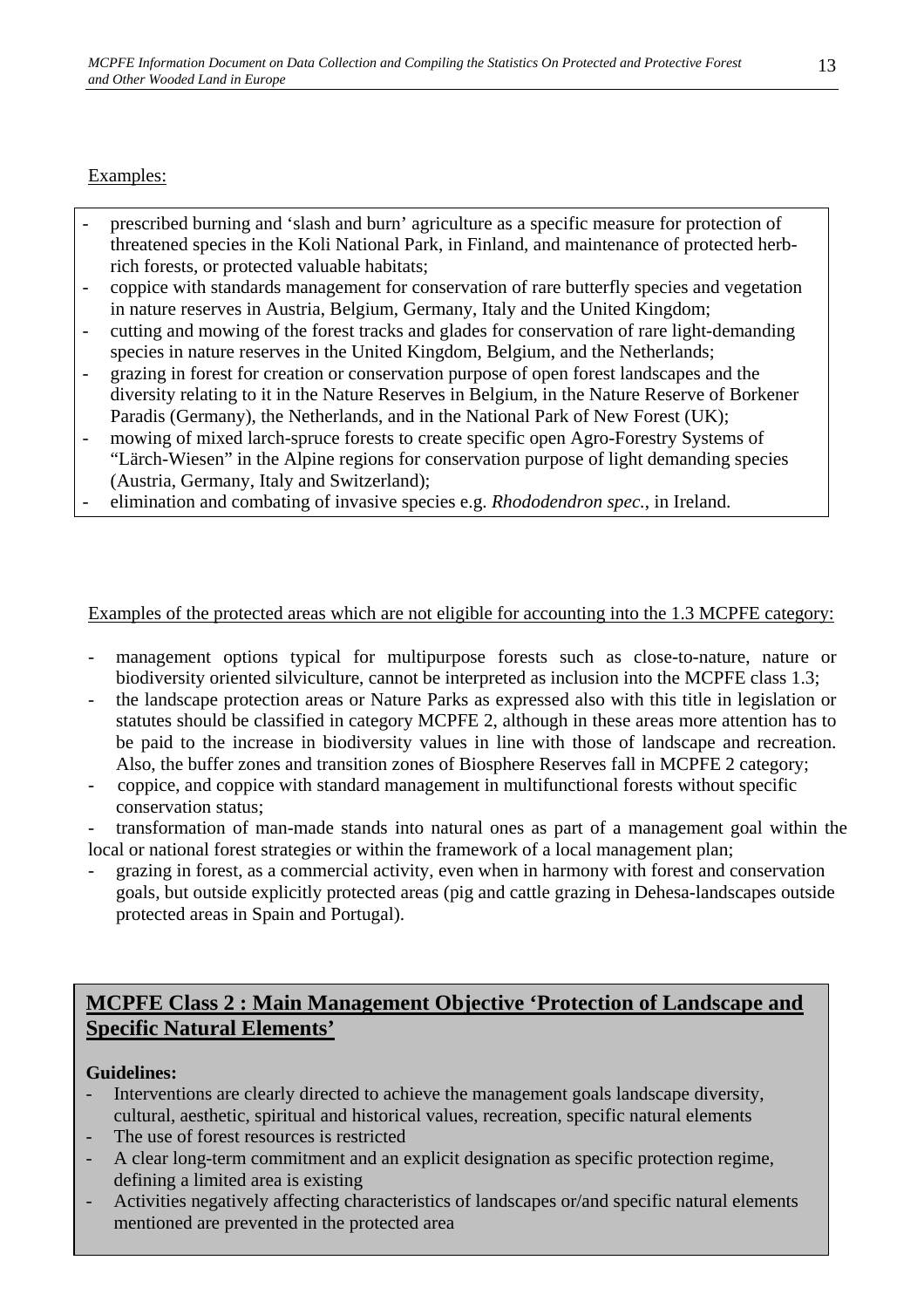## Examples:

- prescribed burning and 'slash and burn' agriculture as a specific measure for protection of threatened species in the Koli National Park, in Finland, and maintenance of protected herbrich forests, or protected valuable habitats;
- coppice with standards management for conservation of rare butterfly species and vegetation in nature reserves in Austria, Belgium, Germany, Italy and the United Kingdom;
- cutting and mowing of the forest tracks and glades for conservation of rare light-demanding species in nature reserves in the United Kingdom, Belgium, and the Netherlands;
- grazing in forest for creation or conservation purpose of open forest landscapes and the diversity relating to it in the Nature Reserves in Belgium, in the Nature Reserve of Borkener Paradis (Germany), the Netherlands, and in the National Park of New Forest (UK);
- mowing of mixed larch-spruce forests to create specific open Agro-Forestry Systems of "Lärch-Wiesen" in the Alpine regions for conservation purpose of light demanding species (Austria, Germany, Italy and Switzerland);
- elimination and combating of invasive species e.g. *Rhododendron spec.*, in Ireland.

## Examples of the protected areas which are not eligible for accounting into the 1.3 MCPFE category:

- management options typical for multipurpose forests such as close-to-nature, nature or biodiversity oriented silviculture, cannot be interpreted as inclusion into the MCPFE class 1.3;
- the landscape protection areas or Nature Parks as expressed also with this title in legislation or statutes should be classified in category MCPFE 2, although in these areas more attention has to be paid to the increase in biodiversity values in line with those of landscape and recreation. Also, the buffer zones and transition zones of Biosphere Reserves fall in MCPFE 2 category;
- coppice, and coppice with standard management in multifunctional forests without specific conservation status;
- transformation of man-made stands into natural ones as part of a management goal within the local or national forest strategies or within the framework of a local management plan;
- grazing in forest, as a commercial activity, even when in harmony with forest and conservation goals, but outside explicitly protected areas (pig and cattle grazing in Dehesa-landscapes outside protected areas in Spain and Portugal).

# **MCPFE Class 2 : Main Management Objective 'Protection of Landscape and Specific Natural Elements'**

## **Guidelines:**

- Interventions are clearly directed to achieve the management goals landscape diversity, cultural, aesthetic, spiritual and historical values, recreation, specific natural elements
- The use of forest resources is restricted
- A clear long-term commitment and an explicit designation as specific protection regime, defining a limited area is existing
- Activities negatively affecting characteristics of landscapes or/and specific natural elements mentioned are prevented in the protected area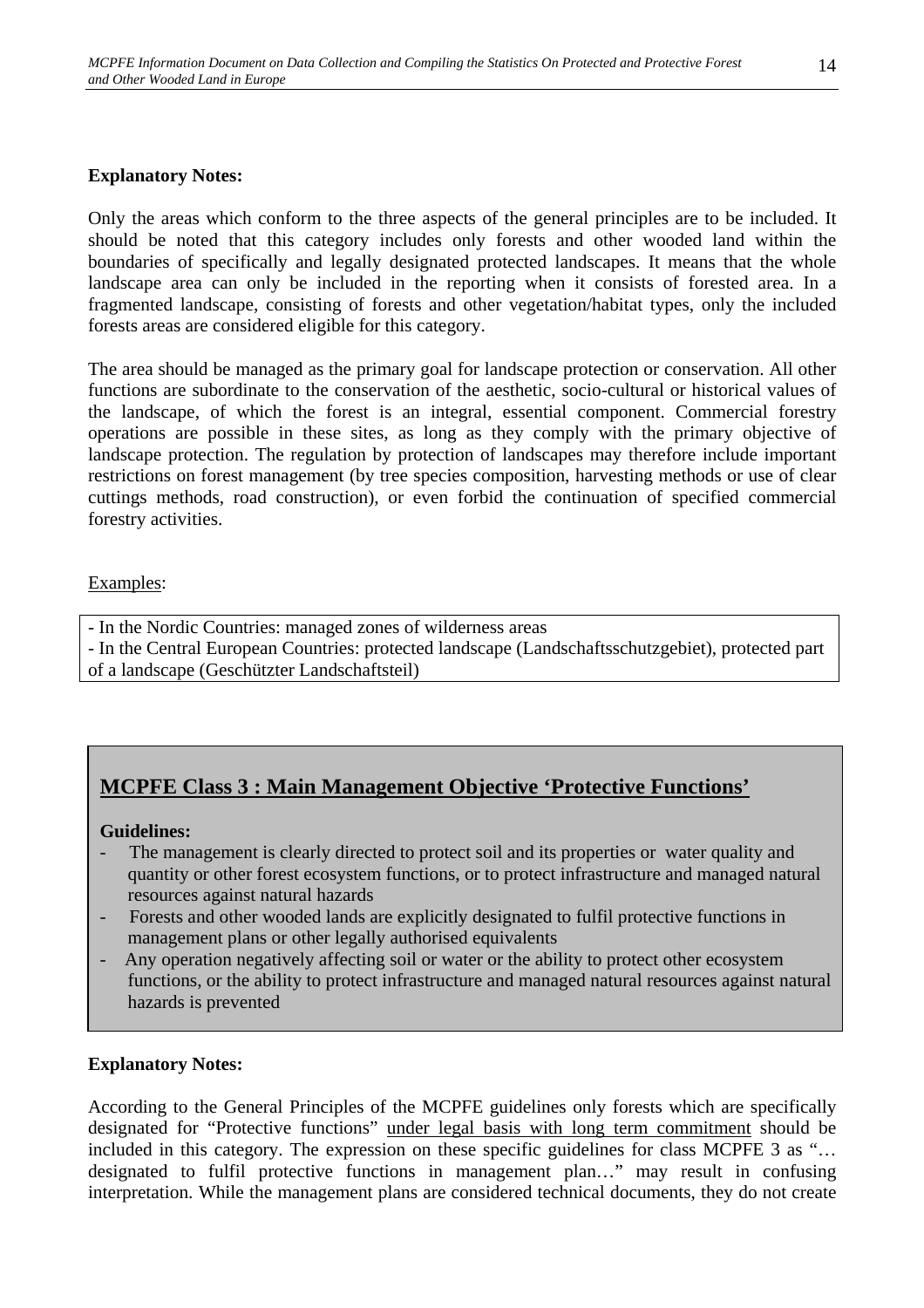#### **Explanatory Notes:**

Only the areas which conform to the three aspects of the general principles are to be included. It should be noted that this category includes only forests and other wooded land within the boundaries of specifically and legally designated protected landscapes. It means that the whole landscape area can only be included in the reporting when it consists of forested area. In a fragmented landscape, consisting of forests and other vegetation/habitat types, only the included forests areas are considered eligible for this category.

The area should be managed as the primary goal for landscape protection or conservation. All other functions are subordinate to the conservation of the aesthetic, socio-cultural or historical values of the landscape, of which the forest is an integral, essential component. Commercial forestry operations are possible in these sites, as long as they comply with the primary objective of landscape protection. The regulation by protection of landscapes may therefore include important restrictions on forest management (by tree species composition, harvesting methods or use of clear cuttings methods, road construction), or even forbid the continuation of specified commercial forestry activities.

#### Examples:

- In the Nordic Countries: managed zones of wilderness areas
- In the Central European Countries: protected landscape (Landschaftsschutzgebiet), protected part of a landscape (Geschützter Landschaftsteil)

# **MCPFE Class 3 : Main Management Objective 'Protective Functions'**

#### **Guidelines:**

- The management is clearly directed to protect soil and its properties or water quality and quantity or other forest ecosystem functions, or to protect infrastructure and managed natural resources against natural hazards
- Forests and other wooded lands are explicitly designated to fulfil protective functions in management plans or other legally authorised equivalents
- Any operation negatively affecting soil or water or the ability to protect other ecosystem functions, or the ability to protect infrastructure and managed natural resources against natural hazards is prevented

#### **Explanatory Notes:**

According to the General Principles of the MCPFE guidelines only forests which are specifically designated for "Protective functions" under legal basis with long term commitment should be included in this category. The expression on these specific guidelines for class MCPFE 3 as "… designated to fulfil protective functions in management plan…" may result in confusing interpretation. While the management plans are considered technical documents, they do not create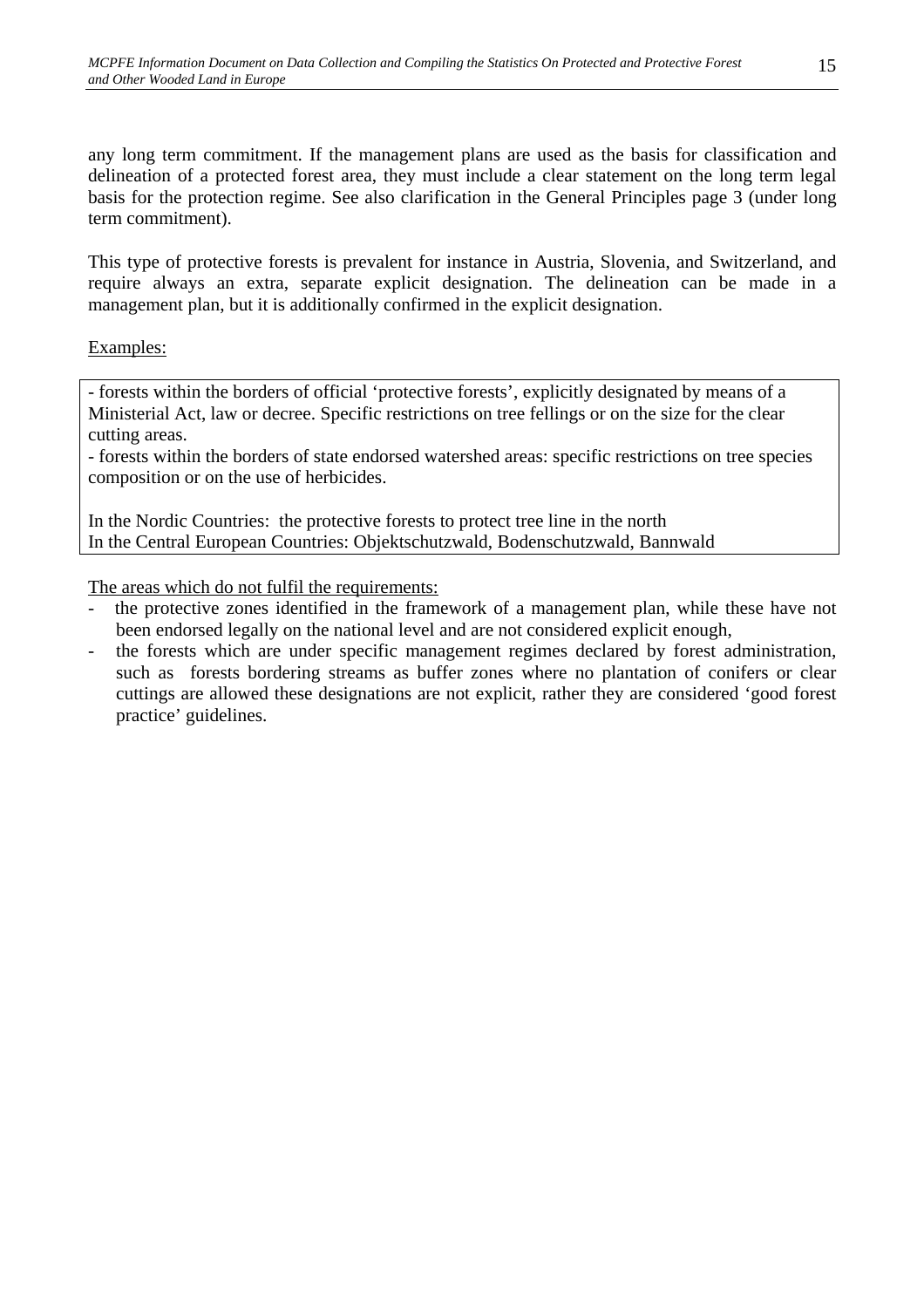any long term commitment. If the management plans are used as the basis for classification and delineation of a protected forest area, they must include a clear statement on the long term legal basis for the protection regime. See also clarification in the General Principles page 3 (under long term commitment).

This type of protective forests is prevalent for instance in Austria, Slovenia, and Switzerland, and require always an extra, separate explicit designation. The delineation can be made in a management plan, but it is additionally confirmed in the explicit designation.

## Examples:

- forests within the borders of official 'protective forests', explicitly designated by means of a Ministerial Act, law or decree. Specific restrictions on tree fellings or on the size for the clear cutting areas.

- forests within the borders of state endorsed watershed areas: specific restrictions on tree species composition or on the use of herbicides.

In the Nordic Countries: the protective forests to protect tree line in the north In the Central European Countries: Objektschutzwald, Bodenschutzwald, Bannwald

The areas which do not fulfil the requirements:

- the protective zones identified in the framework of a management plan, while these have not been endorsed legally on the national level and are not considered explicit enough,
- the forests which are under specific management regimes declared by forest administration, such as forests bordering streams as buffer zones where no plantation of conifers or clear cuttings are allowed these designations are not explicit, rather they are considered 'good forest practice' guidelines.